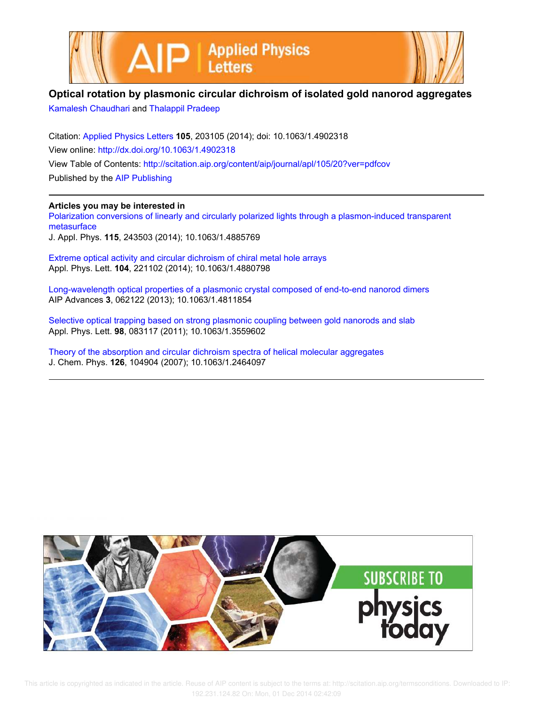



## **Optical rotation by plasmonic circular dichroism of isolated gold nanorod aggregates**

Kamalesh Chaudhari and Thalappil Pradeep

Citation: Applied Physics Letters **105**, 203105 (2014); doi: 10.1063/1.4902318 View online: http://dx.doi.org/10.1063/1.4902318 View Table of Contents: http://scitation.aip.org/content/aip/journal/apl/105/20?ver=pdfcov Published by the AIP Publishing

## **Articles you may be interested in**

Polarization conversions of linearly and circularly polarized lights through a plasmon-induced transparent metasurface

J. Appl. Phys. **115**, 243503 (2014); 10.1063/1.4885769

Extreme optical activity and circular dichroism of chiral metal hole arrays Appl. Phys. Lett. **104**, 221102 (2014); 10.1063/1.4880798

Long-wavelength optical properties of a plasmonic crystal composed of end-to-end nanorod dimers AIP Advances **3**, 062122 (2013); 10.1063/1.4811854

Selective optical trapping based on strong plasmonic coupling between gold nanorods and slab Appl. Phys. Lett. **98**, 083117 (2011); 10.1063/1.3559602

Theory of the absorption and circular dichroism spectra of helical molecular aggregates J. Chem. Phys. **126**, 104904 (2007); 10.1063/1.2464097



 This article is copyrighted as indicated in the article. Reuse of AIP content is subject to the terms at: http://scitation.aip.org/termsconditions. Downloaded to IP: 192.231.124.82 On: Mon, 01 Dec 2014 02:42:09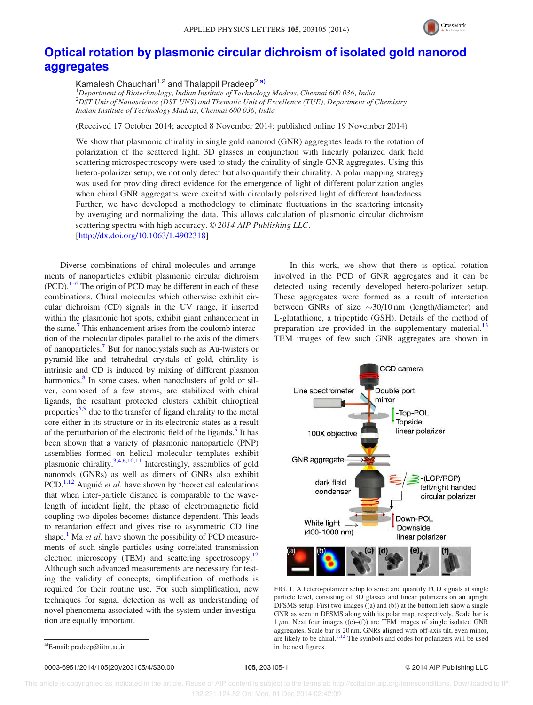

## Optical rotation by plasmonic circular dichroism of isolated gold nanorod aggregates

Kamalesh Chaudhari<sup>1,2</sup> and Thalappil Pradeep<sup>2,a)</sup>

 ${}^{1}$ Department of Biotechnology, Indian Institute of Technology Madras, Chennai 600 036, India  $2$ DST Unit of Nanoscience (DST UNS) and Thematic Unit of Excellence (TUE), Department of Chemistry, Indian Institute of Technology Madras, Chennai 600 036, India

(Received 17 October 2014; accepted 8 November 2014; published online 19 November 2014)

We show that plasmonic chirality in single gold nanorod (GNR) aggregates leads to the rotation of polarization of the scattered light. 3D glasses in conjunction with linearly polarized dark field scattering microspectroscopy were used to study the chirality of single GNR aggregates. Using this hetero-polarizer setup, we not only detect but also quantify their chirality. A polar mapping strategy was used for providing direct evidence for the emergence of light of different polarization angles when chiral GNR aggregates were excited with circularly polarized light of different handedness. Further, we have developed a methodology to eliminate fluctuations in the scattering intensity by averaging and normalizing the data. This allows calculation of plasmonic circular dichroism scattering spectra with high accuracy.  $\odot$  2014 AIP Publishing LLC. [http://dx.doi.org/10.1063/1.4902318]

Diverse combinations of chiral molecules and arrangements of nanoparticles exhibit plasmonic circular dichroism  $(PCD)$ .<sup>1–6</sup> The origin of PCD may be different in each of these combinations. Chiral molecules which otherwise exhibit circular dichroism (CD) signals in the UV range, if inserted within the plasmonic hot spots, exhibit giant enhancement in the same.<sup>7</sup> This enhancement arises from the coulomb interaction of the molecular dipoles parallel to the axis of the dimers of nanoparticles.<sup>7</sup> But for nanocrystals such as Au-twisters or pyramid-like and tetrahedral crystals of gold, chirality is intrinsic and CD is induced by mixing of different plasmon harmonics.<sup>8</sup> In some cases, when nanoclusters of gold or silver, composed of a few atoms, are stabilized with chiral ligands, the resultant protected clusters exhibit chiroptical properties<sup>5,9</sup> due to the transfer of ligand chirality to the metal core either in its structure or in its electronic states as a result of the perturbation of the electronic field of the ligands.<sup>5</sup> It has been shown that a variety of plasmonic nanoparticle (PNP) assemblies formed on helical molecular templates exhibit plasmonic chirality. $3,4,6,10,11$  Interestingly, assemblies of gold nanorods (GNRs) as well as dimers of GNRs also exhibit PCD.<sup>1,12</sup> Auguié et al. have shown by theoretical calculations that when inter-particle distance is comparable to the wavelength of incident light, the phase of electromagnetic field coupling two dipoles becomes distance dependent. This leads to retardation effect and gives rise to asymmetric CD line shape.<sup>1</sup> Ma *et al*. have shown the possibility of PCD measurements of such single particles using correlated transmission electron microscopy (TEM) and scattering spectroscopy.<sup>12</sup> Although such advanced measurements are necessary for testing the validity of concepts; simplification of methods is required for their routine use. For such simplification, new techniques for signal detection as well as understanding of novel phenomena associated with the system under investigation are equally important.

In this work, we show that there is optical rotation involved in the PCD of GNR aggregates and it can be detected using recently developed hetero-polarizer setup. These aggregates were formed as a result of interaction between GNRs of size  $\sim$ 30/10 nm (length/diameter) and L-glutathione, a tripeptide (GSH). Details of the method of preparation are provided in the supplementary material.<sup>13</sup> TEM images of few such GNR aggregates are shown in



FIG. 1. A hetero-polarizer setup to sense and quantify PCD signals at single particle level, consisting of 3D glasses and linear polarizers on an upright DFSMS setup. First two images ((a) and (b)) at the bottom left show a single GNR as seen in DFSMS along with its polar map, respectively. Scale bar is  $1 \mu$ m. Next four images ((c)–(f)) are TEM images of single isolated GNR aggregates. Scale bar is 20 nm. GNRs aligned with off-axis tilt, even minor, are likely to be chiral.<sup>1,12</sup> The symbols and codes for polarizers will be used

0003-6951/2014/105(20)/203105/4/\$30.00 105, 203105-1 105, 203105-1 90003-6951/2014 AIP Publishing LLC

 $a$ <sup>2</sup>E-mail: pradeep@iitm.ac.in in the next figures.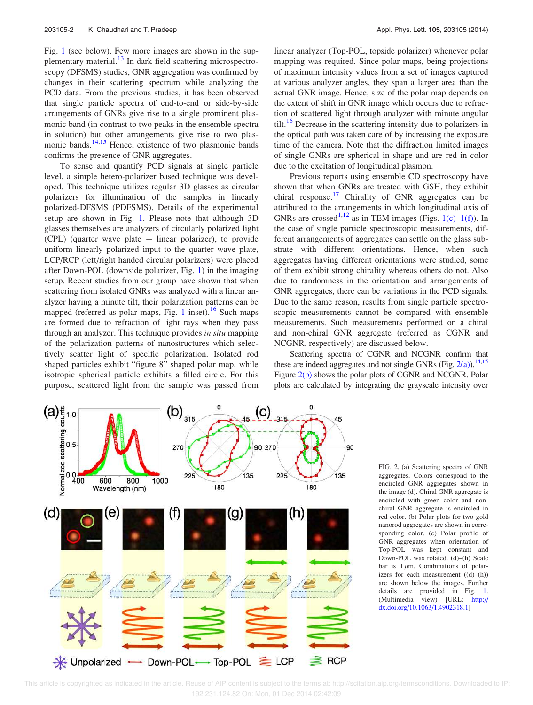Fig. 1 (see below). Few more images are shown in the supplementary material.<sup>13</sup> In dark field scattering microspectroscopy (DFSMS) studies, GNR aggregation was confirmed by changes in their scattering spectrum while analyzing the PCD data. From the previous studies, it has been observed that single particle spectra of end-to-end or side-by-side arrangements of GNRs give rise to a single prominent plasmonic band (in contrast to two peaks in the ensemble spectra in solution) but other arrangements give rise to two plasmonic bands.<sup>14,15</sup> Hence, existence of two plasmonic bands confirms the presence of GNR aggregates.

To sense and quantify PCD signals at single particle level, a simple hetero-polarizer based technique was developed. This technique utilizes regular 3D glasses as circular polarizers for illumination of the samples in linearly polarized-DFSMS (PDFSMS). Details of the experimental setup are shown in Fig. 1. Please note that although 3D glasses themselves are analyzers of circularly polarized light (CPL) (quarter wave plate  $+$  linear polarizer), to provide uniform linearly polarized input to the quarter wave plate, LCP/RCP (left/right handed circular polarizers) were placed after Down-POL (downside polarizer, Fig. 1) in the imaging setup. Recent studies from our group have shown that when scattering from isolated GNRs was analyzed with a linear analyzer having a minute tilt, their polarization patterns can be mapped (referred as polar maps, Fig. 1 inset).<sup>16</sup> Such maps are formed due to refraction of light rays when they pass through an analyzer. This technique provides in situ mapping of the polarization patterns of nanostructures which selectively scatter light of specific polarization. Isolated rod shaped particles exhibit "figure 8" shaped polar map, while isotropic spherical particle exhibits a filled circle. For this purpose, scattered light from the sample was passed from linear analyzer (Top-POL, topside polarizer) whenever polar mapping was required. Since polar maps, being projections of maximum intensity values from a set of images captured at various analyzer angles, they span a larger area than the actual GNR image. Hence, size of the polar map depends on the extent of shift in GNR image which occurs due to refraction of scattered light through analyzer with minute angular tilt.<sup>16</sup> Decrease in the scattering intensity due to polarizers in the optical path was taken care of by increasing the exposure time of the camera. Note that the diffraction limited images of single GNRs are spherical in shape and are red in color due to the excitation of longitudinal plasmon.

Previous reports using ensemble CD spectroscopy have shown that when GNRs are treated with GSH, they exhibit chiral response.<sup>17</sup> Chirality of GNR aggregates can be attributed to the arrangements in which longitudinal axis of GNRs are crossed<sup>1,12</sup> as in TEM images (Figs. 1(c)–1(f)). In the case of single particle spectroscopic measurements, different arrangements of aggregates can settle on the glass substrate with different orientations. Hence, when such aggregates having different orientations were studied, some of them exhibit strong chirality whereas others do not. Also due to randomness in the orientation and arrangements of GNR aggregates, there can be variations in the PCD signals. Due to the same reason, results from single particle spectroscopic measurements cannot be compared with ensemble measurements. Such measurements performed on a chiral and non-chiral GNR aggregate (referred as CGNR and NCGNR, respectively) are discussed below.

Scattering spectra of CGNR and NCGNR confirm that these are indeed aggregates and not single GNRs (Fig.  $2(a)$ ).<sup>14,15</sup> Figure 2(b) shows the polar plots of CGNR and NCGNR. Polar plots are calculated by integrating the grayscale intensity over



FIG. 2. (a) Scattering spectra of GNR aggregates. Colors correspond to the encircled GNR aggregates shown in the image (d). Chiral GNR aggregate is encircled with green color and nonchiral GNR aggregate is encircled in red color. (b) Polar plots for two gold nanorod aggregates are shown in corresponding color. (c) Polar profile of GNR aggregates when orientation of Top-POL was kept constant and Down-POL was rotated. (d)–(h) Scale bar is  $1 \mu m$ . Combinations of polarizers for each measurement ((d)–(h)) are shown below the images. Further details are provided in Fig. 1. (Multimedia view) [URL: http:// dx.doi.org/10.1063/1.4902318.1]

 This article is copyrighted as indicated in the article. Reuse of AIP content is subject to the terms at: http://scitation.aip.org/termsconditions. Downloaded to IP: 192.231.124.82 On: Mon, 01 Dec 2014 02:42:09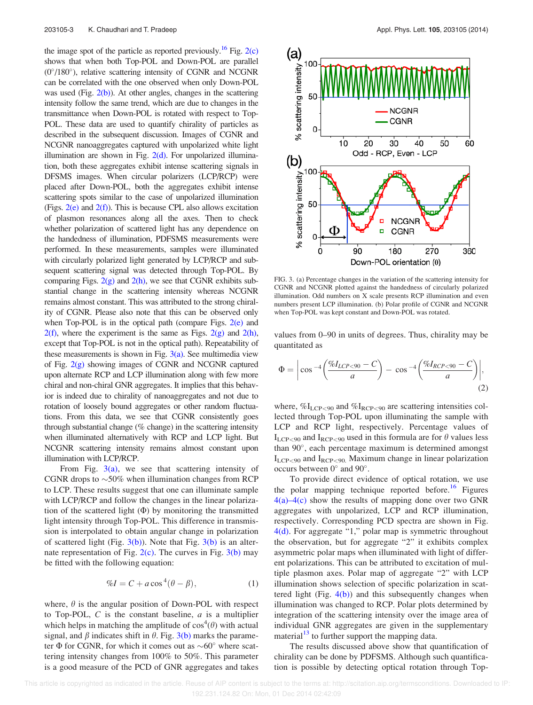the image spot of the particle as reported previously.<sup>16</sup> Fig. 2(c) shows that when both Top-POL and Down-POL are parallel (0 /180 ), relative scattering intensity of CGNR and NCGNR can be correlated with the one observed when only Down-POL was used (Fig.  $2(b)$ ). At other angles, changes in the scattering intensity follow the same trend, which are due to changes in the transmittance when Down-POL is rotated with respect to Top-POL. These data are used to quantify chirality of particles as described in the subsequent discussion. Images of CGNR and NCGNR nanoaggregates captured with unpolarized white light illumination are shown in Fig.  $2(d)$ . For unpolarized illumination, both these aggregates exhibit intense scattering signals in DFSMS images. When circular polarizers (LCP/RCP) were placed after Down-POL, both the aggregates exhibit intense scattering spots similar to the case of unpolarized illumination (Figs.  $2(e)$  and  $2(f)$ ). This is because CPL also allows excitation of plasmon resonances along all the axes. Then to check whether polarization of scattered light has any dependence on the handedness of illumination, PDFSMS measurements were performed. In these measurements, samples were illuminated with circularly polarized light generated by LCP/RCP and subsequent scattering signal was detected through Top-POL. By comparing Figs.  $2(g)$  and  $2(h)$ , we see that CGNR exhibits substantial change in the scattering intensity whereas NCGNR remains almost constant. This was attributed to the strong chirality of CGNR. Please also note that this can be observed only when Top-POL is in the optical path (compare Figs.  $2(e)$  and  $2(f)$ , where the experiment is the same as Figs.  $2(g)$  and  $2(h)$ , except that Top-POL is not in the optical path). Repeatability of these measurements is shown in Fig.  $3(a)$ . See multimedia view of Fig. 2(g) showing images of CGNR and NCGNR captured upon alternate RCP and LCP illumination along with few more chiral and non-chiral GNR aggregates. It implies that this behavior is indeed due to chirality of nanoaggregates and not due to rotation of loosely bound aggregates or other random fluctuations. From this data, we see that CGNR consistently goes through substantial change (% change) in the scattering intensity when illuminated alternatively with RCP and LCP light. But NCGNR scattering intensity remains almost constant upon illumination with LCP/RCP.

From Fig.  $3(a)$ , we see that scattering intensity of CGNR drops to  $\sim$  50% when illumination changes from RCP to LCP. These results suggest that one can illuminate sample with LCP/RCP and follow the changes in the linear polarization of the scattered light  $(\Phi)$  by monitoring the transmitted light intensity through Top-POL. This difference in transmission is interpolated to obtain angular change in polarization of scattered light (Fig.  $3(b)$ ). Note that Fig.  $3(b)$  is an alternate representation of Fig.  $2(c)$ . The curves in Fig.  $3(b)$  may be fitted with the following equation:

$$
\%I = C + a\cos^4(\theta - \beta),\tag{1}
$$

where,  $\theta$  is the angular position of Down-POL with respect to Top-POL,  $C$  is the constant baseline,  $a$  is a multiplier which helps in matching the amplitude of  $cos^4(\theta)$  with actual signal, and  $\beta$  indicates shift in  $\theta$ . Fig. 3(b) marks the parameter  $\Phi$  for CGNR, for which it comes out as  $\sim 60^\circ$  where scattering intensity changes from 100% to 50%. This parameter is a good measure of the PCD of GNR aggregates and takes



FIG. 3. (a) Percentage changes in the variation of the scattering intensity for CGNR and NCGNR plotted against the handedness of circularly polarized illumination. Odd numbers on X scale presents RCP illumination and even numbers present LCP illumination. (b) Polar profile of CGNR and NCGNR when Top-POL was kept constant and Down-POL was rotated.

values from 0–90 in units of degrees. Thus, chirality may be quantitated as

$$
\Phi = \left| \cos^{-4} \left( \frac{\%I_{LCP < 90} - C}{a} \right) - \cos^{-4} \left( \frac{\%I_{RCP < 90} - C}{a} \right) \right|, \tag{2}
$$

where,  $\mathcal{U}_{LCP<90}$  and  $\mathcal{U}_{RCP<90}$  are scattering intensities collected through Top-POL upon illuminating the sample with LCP and RCP light, respectively. Percentage values of  $I_{LCP<90}$  and  $I_{RCP<90}$  used in this formula are for  $\theta$  values less than 90 , each percentage maximum is determined amongst  $I_{LCP < 90}$  and  $I_{RCP < 90}$ . Maximum change in linear polarization occurs between  $0^{\circ}$  and  $90^{\circ}$ .

To provide direct evidence of optical rotation, we use the polar mapping technique reported before.<sup>16</sup> Figures 4(a)–4(c) show the results of mapping done over two GNR aggregates with unpolarized, LCP and RCP illumination, respectively. Corresponding PCD spectra are shown in Fig. 4(d). For aggregate "1," polar map is symmetric throughout the observation, but for aggregate "2" it exhibits complex asymmetric polar maps when illuminated with light of different polarizations. This can be attributed to excitation of multiple plasmon axes. Polar map of aggregate "2" with LCP illumination shows selection of specific polarization in scattered light (Fig.  $4(b)$ ) and this subsequently changes when illumination was changed to RCP. Polar plots determined by integration of the scattering intensity over the image area of individual GNR aggregates are given in the supplementary material $13$  to further support the mapping data.

The results discussed above show that quantification of chirality can be done by PDFSMS. Although such quantification is possible by detecting optical rotation through Top-